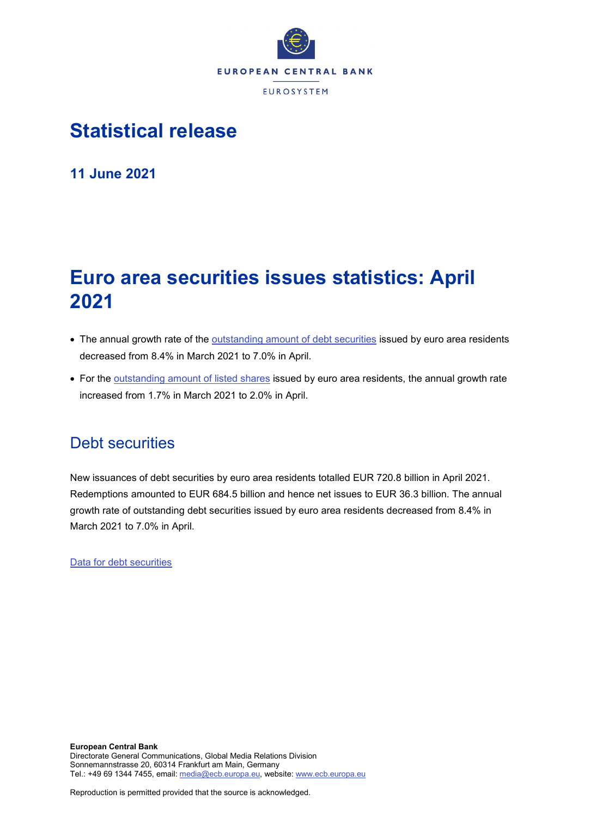

## **Statistical release**

**11 June 2021**

# **Euro area securities issues statistics: April 2021**

- The annual growth rate of the [outstanding amount of debt securities](http://sdw.ecb.europa.eu/quickview.do?SERIES_KEY=130.SEC.M.I8.1000.F33000.N.I.Z01.A.Z) issued by euro area residents decreased from 8.4% in March 2021 to 7.0% in April.
- For the [outstanding amount of listed shares](http://sdw.ecb.europa.eu/quickview.do?SERIES_KEY=130.SEC.M.I8.1000.F51100.M.I.Z01.A.Z) issued by euro area residents, the annual growth rate increased from 1.7% in March 2021 to 2.0% in April.

### Debt securities

New issuances of debt securities by euro area residents totalled EUR 720.8 billion in April 2021. Redemptions amounted to EUR 684.5 billion and hence net issues to EUR 36.3 billion. The annual growth rate of outstanding debt securities issued by euro area residents decreased from 8.4% in March 2021 to 7.0% in April.

[Data for debt securities](http://sdw.ecb.europa.eu/browseSelection.do?type=series&q=SEC.M.I8.1000.F33000.N.2.Z01.E.Z%2c+SEC.M.I8.1000.F33000.N.3.Z01.E.Z%2c+SEC.M.I8.1000.F33000.N.4.Z01.E.Z%2c+SEC.M.I8.1000.F33000.N.I.Z01.A.Z&node=SEARCHRESULTS&ec=&oc=&rc=&cv=&pb=&dc=&df=)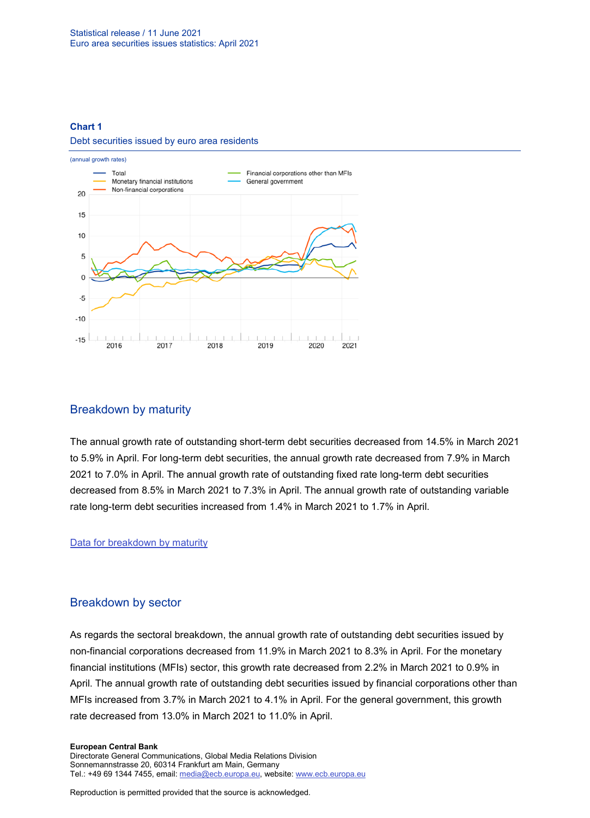### **Chart 1**

### Debt securities issued by euro area residents



### Breakdown by maturity

The annual growth rate of outstanding short-term debt securities decreased from 14.5% in March 2021 to 5.9% in April. For long-term debt securities, the annual growth rate decreased from 7.9% in March 2021 to 7.0% in April. The annual growth rate of outstanding fixed rate long-term debt securities decreased from 8.5% in March 2021 to 7.3% in April. The annual growth rate of outstanding variable rate long-term debt securities increased from 1.4% in March 2021 to 1.7% in April.

### [Data for breakdown by maturity](http://sdw.ecb.europa.eu/browseSelection.do?type=series&q=SEC.M.I8.1000.F33100.N.I.Z01.A.Z%2c+SEC.M.I8.1000.F33200.N.I.Z01.A.Z%2c+SEC.M.I8.1000.F33201.N.I.Z01.A.Z%2c+SEC.M.I8.1000.F33202.N.I.Z01.A.Z&node=SEARCHRESULTS&ec=&oc=&rc=&cv=&pb=&dc=&df=)

### Breakdown by sector

As regards the sectoral breakdown, the annual growth rate of outstanding debt securities issued by non-financial corporations decreased from 11.9% in March 2021 to 8.3% in April. For the monetary financial institutions (MFIs) sector, this growth rate decreased from 2.2% in March 2021 to 0.9% in April. The annual growth rate of outstanding debt securities issued by financial corporations other than MFIs increased from 3.7% in March 2021 to 4.1% in April. For the general government, this growth rate decreased from 13.0% in March 2021 to 11.0% in April.

#### **European Central Bank**

Directorate General Communications, Global Media Relations Division Sonnemannstrasse 20, 60314 Frankfurt am Main, Germany Tel.: +49 69 1344 7455, email[: media@ecb.europa.eu,](mailto:media@ecb.europa.eu) website: www.ecb.europa.eu

Reproduction is permitted provided that the source is acknowledged.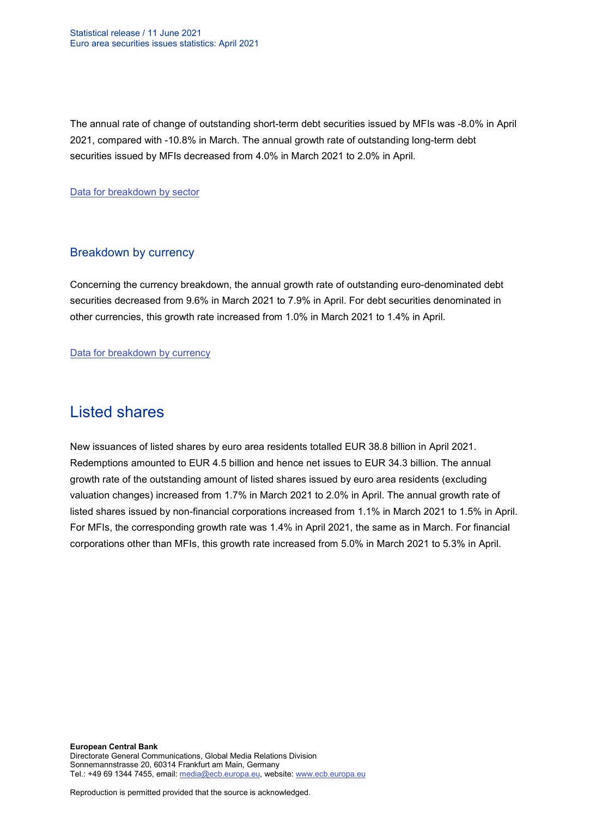The annual rate of change of outstanding short-term debt securities issued by MFIs was -8.0% in April 2021, compared with -10.8% in March. The annual growth rate of outstanding long-term debt securities issued by MFIs decreased from 4.0% in March 2021 to 2.0% in April.

[Data for breakdown by sector](http://sdw.ecb.europa.eu/browseSelection.do?type=series&q=SEC.M.I8.1100.F33000.N.I.Z01.A.Z%2cSEC.M.I8.1220.F33000.N.I.Z01.A.Z%2cSEC.M.I8.1235.F33000.N.I.Z01.A.Z%2cSEC.M.I8.1300.F33000.N.I.Z01.A.Z%2cSEC.M.I8.1220.F33100.N.I.Z01.A.Z%2cSEC.M.I8.1220.F33200.N.I.Z01.A.Z&node=SEARCHRESULTS&ec=&oc=&rc=&cv=&pb=&dc=&df=)

### Breakdown by currency

Concerning the currency breakdown, the annual growth rate of outstanding euro-denominated debt securities decreased from 9.6% in March 2021 to 7.9% in April. For debt securities denominated in other currencies, this growth rate increased from 1.0% in March 2021 to 1.4% in April.

[Data for breakdown by currency](http://sdw.ecb.europa.eu/browseSelection.do?type=series&q=SEC.M.I8.1000.F33000.N.I.EUR.A.Z%2cSEC.M.I8.1000.F33000.N.I.Z06.A.Z&node=SEARCHRESULTS&ec=&oc=&rc=&cv=&pb=&dc=&df=)

## Listed shares

New issuances of listed shares by euro area residents totalled EUR 38.8 billion in April 2021. Redemptions amounted to EUR 4.5 billion and hence net issues to EUR 34.3 billion. The annual growth rate of the outstanding amount of listed shares issued by euro area residents (excluding valuation changes) increased from 1.7% in March 2021 to 2.0% in April. The annual growth rate of listed shares issued by non-financial corporations increased from 1.1% in March 2021 to 1.5% in April. For MFIs, the corresponding growth rate was 1.4% in April 2021, the same as in March. For financial corporations other than MFIs, this growth rate increased from 5.0% in March 2021 to 5.3% in April.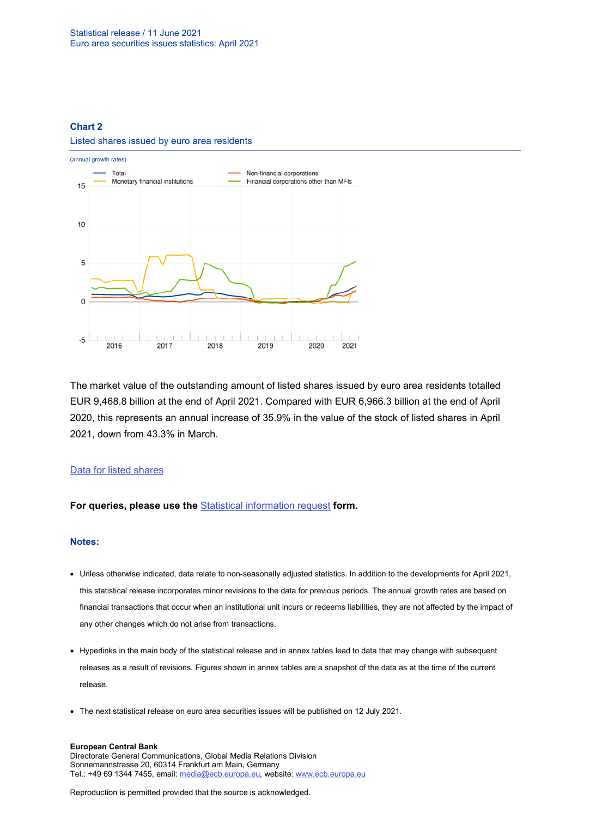### **Chart 2**

### Listed shares issued by euro area residents



The market value of the outstanding amount of listed shares issued by euro area residents totalled EUR 9,468.8 billion at the end of April 2021. Compared with EUR 6,966.3 billion at the end of April 2020, this represents an annual increase of 35.9% in the value of the stock of listed shares in April 2021, down from 43.3% in March.

### [Data for listed shares](http://sdw.ecb.europa.eu/browseSelection.do?type=series&q=SEC.M.I8.1000.F51100.M.2.Z01.E.Z%2cSEC.M.I8.1000.F51100.M.3.Z01.E.Z%2cSEC.M.I8.1000.F51100.M.4.Z01.E.Z%2cSEC.M.I8.1000.F51100.M.I.Z01.A.Z%2cSEC.M.I8.1100.F51100.M.I.Z01.A.Z%2cSEC.M.I8.1220.F51100.M.I.Z01.A.Z%2cSEC.M.I8.1235.F51100.M.I.Z01.A.Z%2cSEC.M.I8.1000.F51100.M.1.Z01.E.Z&node=SEARCHRESULTS&ec=&oc=&rc=&cv=&pb=&dc=&df=)

### **For queries, please use the** [Statistical information request](https://ecb-registration.escb.eu/statistical-information) **form.**

### **Notes:**

- Unless otherwise indicated, data relate to non-seasonally adjusted statistics. In addition to the developments for April 2021, this statistical release incorporates minor revisions to the data for previous periods. The annual growth rates are based on financial transactions that occur when an institutional unit incurs or redeems liabilities, they are not affected by the impact of any other changes which do not arise from transactions.
- Hyperlinks in the main body of the statistical release and in annex tables lead to data that may change with subsequent releases as a result of revisions. Figures shown in annex tables are a snapshot of the data as at the time of the current release.
- The next statistical release on euro area securities issues will be published on 12 July 2021.

#### **European Central Bank**

Directorate General Communications, Global Media Relations Division Sonnemannstrasse 20, 60314 Frankfurt am Main, Germany Tel.: +49 69 1344 7455, email[: media@ecb.europa.eu,](mailto:media@ecb.europa.eu) website: www.ecb.europa.eu

Reproduction is permitted provided that the source is acknowledged.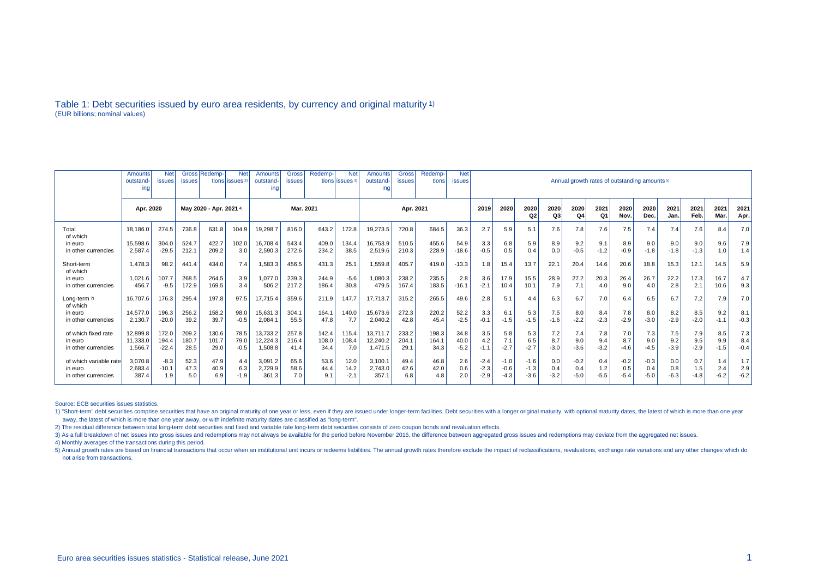### Table 1: Debt securities issued by euro area residents, by currency and original maturity 1) (EUR billions; nominal values)

|                        | Amounts   | <b>Net</b>    |                        | Gross Redemp- | <b>Net</b>                 | Amounts   | Gross         | Redemp- | <b>Net</b>                | <b>Amounts</b> | <b>Gross</b> | Redemp- | <b>Net</b>    |        |        |        |        |        |                                                          |        |        |        |        |        |        |  |  |
|------------------------|-----------|---------------|------------------------|---------------|----------------------------|-----------|---------------|---------|---------------------------|----------------|--------------|---------|---------------|--------|--------|--------|--------|--------|----------------------------------------------------------|--------|--------|--------|--------|--------|--------|--|--|
|                        | outstand  | <b>issues</b> | <b>issues</b>          |               | tions lissues <sup>3</sup> | outstand- | <b>issues</b> |         | tions issues <sup>3</sup> | outstand-      | issues       | tions   | <b>issues</b> |        |        |        |        |        | Annual growth rates of outstanding amounts <sup>5)</sup> |        |        |        |        |        |        |  |  |
|                        | ing       |               |                        |               |                            | ing       |               |         |                           | inc            |              |         |               |        |        |        |        |        |                                                          |        |        |        |        |        |        |  |  |
|                        |           |               |                        |               |                            |           |               |         |                           |                |              |         |               |        |        |        |        |        |                                                          |        |        |        |        |        |        |  |  |
|                        |           |               |                        |               | Mar. 2021                  |           |               |         |                           |                |              |         |               |        |        |        |        |        |                                                          |        |        |        |        |        |        |  |  |
|                        | Apr. 2020 |               | May 2020 - Apr. 2021 4 |               |                            |           |               |         | Apr. 2021                 |                |              |         | 2019          | 2020   | 2020   | 2020   | 2020   | 2021   | 2020                                                     | 2020   | 2021   | 2021   | 2021   | 2021   |        |  |  |
|                        |           |               |                        |               |                            |           |               |         |                           |                |              |         |               |        | Q2     | Q3     | Q4     | Q1     | Nov.                                                     | Dec.   | Jan    | Feb.   | Mar.   | Apr.   |        |  |  |
| Total<br>of which      | 18.186.0  | 274.5         | 736.8                  | 631.8         | 104.9                      | 19,298.7  | 816.0         | 643.2   | 172.8                     | 19,273.5       | 720.8        | 684.5   | 36.3          | 2.7    | 5.9    | 5.1    | 7.6    | 7.8    | 7.6                                                      | 7.5    | 7.4    | 7.4    | 7.6    | 8.4    | 7.0    |  |  |
| in euro                | 15,598.6  | 304.0         | 524.7                  | 422.7         | 102.0                      | 16,708.4  | 543.4         | 409.0   | 134.4                     | 16,753.9       | 510.5        | 455.6   | 54.9          | 3.3    | 6.8    | 5.9    | 8.9    | 9.2    | 9.1                                                      | 8.9    | 9.0    | 9.0    | 9.0    | 9.6    | 7.9    |  |  |
| in other currencies    | 2.587.4   | $-29.5$       | 212.1                  | 209.2         | 3.0                        | 2,590.3   | 272.6         | 234.2   | 38.5                      | 2,519.6        | 210.3        | 228.9   | $-18.6$       | $-0.5$ | 0.5    | 0.4    | 0.0    | $-0.5$ | $-1.2$                                                   | $-0.9$ | $-1.8$ | $-1.8$ | $-1.3$ | 1.0    | 1.4    |  |  |
|                        |           |               |                        |               |                            |           |               |         |                           |                |              |         |               |        |        |        |        |        |                                                          |        |        |        |        |        |        |  |  |
| Short-term             | 1.478.3   | 98.2          | 441.4                  | 434.0         | 7.4                        | 1,583.3   | 456.5         | 431.3   | 25.1                      | 1,559.8        | 405.7        | 419.0   | $-13.3$       | 1.8    | 15.4   | 13.7   | 22.7   | 20.4   | 14.6                                                     | 20.6   | 18.8   | 15.3   | 12.1   | 14.5   | 5.9    |  |  |
| of which               |           |               |                        |               |                            |           |               |         |                           |                |              |         |               |        |        |        |        |        |                                                          |        |        |        |        |        |        |  |  |
| in euro                | 1.021.6   | 107.7         | 268.5                  | 264.5         | 3.9                        | 1,077.0   | 239.3         | 244.9   | $-5.6$                    | 1,080.3        | 238.2        | 235.5   | 2.8           | 3.6    | 17.9   | 15.5   | 28.9   | 27.2   | 20.3                                                     | 26.4   | 26.7   | 22.2   | 17.3   | 16.7   | 4.7    |  |  |
| in other currencies    | 456.7     | $-9.5$        | 172.9                  | 169.5         | 3.4                        | 506.2     | 217.2         | 186.4   | 30.8                      | 479.5          | 167.4        | 183.5   | $-16.1$       | $-2.1$ | 10.4   | 10.1   | 7.9    | 7.1    | 4.0                                                      | 9.0    | 4.0    | 2.8    | 2.1    | 10.6   | 9.3    |  |  |
|                        |           |               |                        |               |                            |           |               |         |                           |                |              |         |               |        |        |        |        |        |                                                          |        |        |        |        |        |        |  |  |
| Long-term 2)           | 16.707.6  | 176.3         | 295.4                  | 197.8         | 97.5                       | 17.715.4  | 359.6         | 211.9   | 147.7                     | 17.713.7       | 315.2        | 265.5   | 49.6          | 2.8    | 5.1    | 4.4    | 6.3    | 6.7    | 7.0                                                      | 6.4    | 6.5    | 6.7    | 7.2    | 7.9    | 7.0    |  |  |
| of which               |           |               |                        |               |                            |           |               |         |                           |                |              |         |               |        |        |        |        |        |                                                          |        |        |        |        |        |        |  |  |
| in euro                | 14.577.0  | 196.3         | 256.2                  | 158.2         | 98.0                       | 15,631.3  | 304.1         | 164.1   | 140.0                     | 15,673.6       | 272.3        | 220.2   | 52.2          | 3.3    | 6.1    | 5.3    | 7.5    | 8.0    | 8.4                                                      | 7.8    | 8.0    | 8.2    | 8.5    | 9.2    | 8.1    |  |  |
| in other currencies    | 2,130.7   | $-20.0$       | 39.2                   | 39.7          | $-0.5$                     | 2,084.1   | 55.5          | 47.8    | 7.7                       | 2,040.2        | 42.8         | 45.4    | $-2.5$        | $-0.1$ | $-1.5$ | $-1.5$ | $-1.6$ | $-2.2$ | $-2.3$                                                   | $-2.9$ | $-3.0$ | $-2.9$ | $-2.0$ | $-1.1$ | $-0.3$ |  |  |
|                        |           |               |                        |               |                            |           |               |         |                           |                |              |         |               |        |        |        |        |        |                                                          |        |        |        |        |        |        |  |  |
| of which fixed rate    | 12.899.8  | 172.0         | 209.2                  | 130.6         | 78.5                       | 13.733.2  | 257.8         | 142.4   | 115.4                     | 13.711.7       | 233.2        | 198.3   | 34.8          | 3.5    | 5.8    | 5.3    | 7.2    | 7.4    | 7.8                                                      | 7.0    | 7.3    | 7.5    | 7.9    | 8.5    | 7.3    |  |  |
| in euro                | 11.333.0  | 194.4         | 180.7                  | 101.7         | 79.0                       | 12,224.3  | 216.4         | 108.0   | 108.4                     | 12,240.2       | 204.1        | 164.1   | 40.0          | 4.2    | 7.1    | 6.5    | 8.7    | 9.0    | 9.4                                                      | 8.7    | 9.0    | 9.2    | 9.5    | 9.9    | 8.4    |  |  |
| in other currencies    | 1.566.7   | $-22.4$       | 28.5                   | 29.0          | $-0.5$                     | 1,508.8   | 41.4          | 34.4    | 7.0                       | 1,471.5        | 29.1         | 34.3    | $-5.2$        | $-1.1$ | $-2.7$ | $-2.7$ | $-3.0$ | $-3.6$ | $-3.2$                                                   | $-4.6$ | $-4.5$ | $-3.9$ | $-2.9$ | $-1.5$ | $-0.4$ |  |  |
|                        |           |               |                        |               |                            |           |               |         |                           |                |              |         |               |        |        |        |        |        |                                                          |        |        |        |        |        |        |  |  |
| of which variable rate | 3,070.8   | $-8.3$        | 52.3                   | 47.9          | 4.4                        | 3,091.2   | 65.6          | 53.6    | 12.0                      | 3,100.1        | 49.4         | 46.8    | 2.6           | $-2.4$ | $-1.0$ | $-1.6$ | 0.0    | $-0.2$ | 0.4                                                      | $-0.2$ | $-0.3$ | 0.0    | 0.7    | 1.4    | 1.7    |  |  |
| in euro                | 2,683.4   | $-10.1$       | 47.3                   | 40.9          | 6.3                        | 2,729.9   | 58.6          | 44.4    | 14.2                      | 2,743.0        | 42.6         | 42.0    | 0.6           | $-2.3$ | $-0.6$ | $-1.3$ | 0.4    | 0.4    | $1.2$                                                    | 0.5    | 0.4    | 0.8    | 1.5    | 2.4    | 2.9    |  |  |
| in other currencies    | 387.4     | 1.9           | 5.0                    | 6.9           | $-1.9$                     | 361.3     | 7.0           | 9.1     | $-2.1$                    | 357.1          | 6.8          | 4.8     | 2.0           | $-2.9$ | $-4.3$ | $-3.6$ | $-3.2$ | $-5.0$ | $-5.5$                                                   | $-5.4$ | -5.0   | $-6.3$ | $-4.8$ | $-6.2$ | $-6.2$ |  |  |
|                        |           |               |                        |               |                            |           |               |         |                           |                |              |         |               |        |        |        |        |        |                                                          |        |        |        |        |        |        |  |  |

Source: ECB securities issues statistics.

1) "Short-term" debt securities comprise securities that have an original maturity of one year or less, even if they are issued under longer-term facilities. Debt securities with a longer original maturity, with optional m away, the latest of which is more than one year away, or with indefinite maturity dates are classified as "long-term".

2) The residual difference between total long-term debt securities and fixed and variable rate long-term debt securities consists of zero coupon bonds and revaluation effects.

3) As a full breakdown of net issues into gross issues and redemptions may not always be available for the period before November 2016, the difference between aggregated gross issues and redemptions may deviate from the ag

4) Monthly averages of the transactions during this period.

5) Annual growth rates are based on financial transactions that occur when an institutional unit incurs or redeems liabilities. The annual growth rates therefore exclude the impact of reclassifications, revaluations, excha not arise from transactions.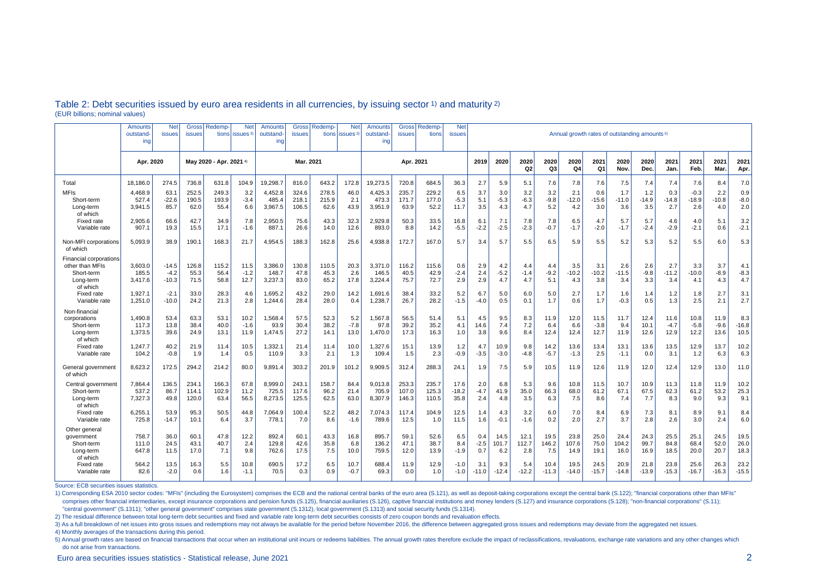|                                                                                         | Amounts<br>outstand-<br>ing | <b>Net</b><br>issues         | Gross<br><b>issues</b>  | Redemp-<br>tions        | <b>Net</b><br>issues <sup>3</sup> | Amounts<br>outstand<br>ing  | <b>Gross</b><br><b>issues</b> | <b>Redemp-</b>         | <b>Net</b><br>tions lissues <sup>3</sup> | Amounts<br>outstand-<br>ing | <b>Gross</b><br><b>issues</b> | Redemp<br>tions         | <b>Net</b><br><b>issues</b> | Annual growth rates of outstanding amounts <sup>5)</sup> |                        |                        |                      |                       |                        |                       |                       |                        |                          |                        |                        |
|-----------------------------------------------------------------------------------------|-----------------------------|------------------------------|-------------------------|-------------------------|-----------------------------------|-----------------------------|-------------------------------|------------------------|------------------------------------------|-----------------------------|-------------------------------|-------------------------|-----------------------------|----------------------------------------------------------|------------------------|------------------------|----------------------|-----------------------|------------------------|-----------------------|-----------------------|------------------------|--------------------------|------------------------|------------------------|
|                                                                                         | Apr. 2020                   |                              |                         | Mav 2020 - Apr. 2021 4) |                                   | Mar. 2021                   |                               |                        | Apr. 2021                                |                             |                               |                         | 2019                        | 2020                                                     | 2020<br>Q <sub>2</sub> | 2020<br>Q <sub>3</sub> | 2020<br>Q4           | 2021<br>Q1            | 2020<br>Nov.           | 2020<br>Dec.          | 2021<br>Jan.          | 2021<br>Feb.           | 2021<br>Mar.             | 2021<br>Apr.           |                        |
| Total                                                                                   | 18.186.0                    | 274.5                        | 736.8                   | 631.8                   | 104.9                             | 9.298.7                     | 816.0                         | 643.2                  | 172.8                                    | 19.273.5                    | 720.8                         | 684.5                   | 36.3                        | 2.7                                                      | 5.9                    | 5.1                    | 7.6                  | 7.8                   | 7.6                    | 7.5                   | 7.4                   | 7.4                    | 7.6                      | 8.4                    | 7.0                    |
| <b>MFIs</b><br>Short-term<br>Long-term<br>of which                                      | 4,468.9<br>527.4<br>3.941.5 | 63.1<br>$-22.6$<br>85.7      | 252.5<br>190.5<br>62.0  | 249.3<br>193.9<br>55.4  | 3.2<br>$-3.4$<br>6.6              | 4,452.8<br>485.4<br>3,967.5 | 324.6<br>218.1<br>106.5       | 278.5<br>215.9<br>62.6 | 46.0<br>2.1<br>43.9                      | 4,425.3<br>473.3<br>3,951.9 | 235.7<br>171.7<br>63.9        | 229.2<br>177.0<br>52.2  | 6.5<br>$-5.3$<br>11.7       | 3.7<br>5.1<br>3.5                                        | 3.0<br>$-5.3$<br>4.3   | 3.2<br>$-6.3$<br>4.7   | 3.2<br>$-9.8$<br>5.2 | 2.1<br>$-12.0$<br>4.2 | 0.6<br>$-15.6$<br>3.0  | 1.7<br>$-11.0$<br>3.6 | 1.2<br>$-14.9$<br>3.5 | 0.3<br>$-14.8$<br>2.7  | $-0.3$<br>$-18.9$<br>2.6 | 2.2<br>$-10.8$<br>4.0  | 0.9<br>$-8.0$<br>2.0   |
| Fixed rate<br>Variable rate                                                             | 2.905.6<br>907.1            | 66.6<br>19.3                 | 42.7<br>15.5            | 34.9<br>17.1            | 7.8<br>$-1.6$                     | 2.950.5<br>887.1            | 75.6<br>26.6                  | 43.3<br>14.0           | 32.3<br>12.6                             | 2.929.8<br>893.0            | 50.3<br>8.8                   | 33.5<br>14.2            | 16.8<br>$-5.5$              | 6.1<br>$-2.2$                                            | 7.1<br>$-2.5$          | 7.8<br>$-2.3$          | 7.8<br>$-0.7$        | 6.5<br>$-1.7$         | 4.7<br>$-2.0$          | 5.7<br>$-1.7$         | 5.7<br>$-2.4$         | 4.6<br>$-2.9$          | 4.0<br>$-2.1$            | 5.1<br>0.6             | 3.2<br>$-2.1$          |
| Non-MFI corporations<br>of which                                                        | 5,093.9                     | 38.9                         | 190.1                   | 168.3                   | 21.7                              | 4,954.5                     | 188.3                         | 162.8                  | 25.6                                     | 4,938.8                     | 172.7                         | 167.0                   | 5.7                         | 3.4                                                      | 5.7                    | 5.5                    | 6.5                  | 5.9                   | 5.5                    | 5.2                   | 5.3                   | 5.2                    | 5.5                      | 6.0                    | 5.3                    |
| <b>Financial corporations</b><br>other than MFIs<br>Short-term<br>Long-term<br>of which | 3,603.0<br>185.5<br>3,417.6 | $-14.5$<br>$-4.2$<br>$-10.3$ | 126.8<br>55.3<br>71.5   | 115.2<br>56.4<br>58.8   | 11.5<br>$-1.2$<br>12.7            | 3,386.0<br>148.7<br>3,237.3 | 130.8<br>47.8<br>83.0         | 110.5<br>45.3<br>65.2  | 20.3<br>2.6<br>17.8                      | 3,371.0<br>146.5<br>3,224.4 | 116.2<br>40.5<br>75.7         | 115.6<br>42.9<br>72.7   | 0.6<br>$-2.4$<br>2.9        | 2.9<br>2.4<br>2.9                                        | 4.2<br>$-5.2$<br>4.7   | 4.4<br>$-1.4$<br>4.7   | 4.4<br>$-9.2$<br>5.1 | 3.5<br>$-10.2$<br>4.3 | 3.1<br>$-10.2$<br>3.8  | 2.6<br>$-11.5$<br>3.4 | 2.6<br>$-9.8$<br>3.3  | 2.7<br>$-11.2$<br>3.4  | 3.3<br>$-10.0$<br>4.1    | 3.7<br>$-8.9$<br>4.3   | 4.1<br>$-8.3$<br>4.7   |
| <b>Fixed rate</b><br>Variable rate                                                      | 1,927.1<br>1,251.0          | $-2.1$<br>$-10.0$            | 33.0<br>24.2            | 28.3<br>21.3            | 4.6<br>2.8                        | 1,695.2<br>1,244.6          | 43.2<br>28.4                  | 29.0<br>28.0           | 14.2<br>0.4                              | 1,691.6<br>1,238.7          | 38.4<br>26.7                  | 33.2<br>28.2            | 5.2<br>-1.5                 | 6.7<br>$-4.0$                                            | 5.0<br>0.5             | 6.0<br>0.1             | 5.0<br>1.7           | 2.7<br>0.6            | 1.7<br>1.7             | 1.6<br>$-0.3$         | 1.4<br>0.5            | 1.2<br>1.3             | 1.8<br>2.5               | 2.7<br>2.1             | 3.1<br>2.7             |
| Non-financial<br>corporations<br>Short-term<br>Long-term<br>of which                    | 1.490.8<br>117.3<br>1.373.5 | 53.4<br>13.8<br>39.6         | 63.3<br>38.4<br>24.9    | 53.1<br>40.0<br>13.1    | 10.2<br>$-1.6$<br>11.9            | 1.568.4<br>93.9<br>1,474.5  | 57.5<br>30.4<br>27.2          | 52.3<br>38.2<br>14.1   | 5.2<br>$-7.8$<br>13.0                    | 1.567.8<br>97.8<br>1.470.0  | 56.5<br>39.2<br>17.3          | 51.4<br>35.2<br>16.3    | 5.1<br>4.1<br>1.0           | 4.5<br>14.6<br>3.8                                       | 9.5<br>7.4<br>9.6      | 8.3<br>7.2<br>8.4      | 11.9<br>6.4<br>12.4  | 12.0<br>6.6<br>12.4   | 11.5<br>$-3.8$<br>12.7 | 11.7<br>9.4<br>11.9   | 12.4<br>10.1<br>12.6  | 11.6<br>$-4.7$<br>12.9 | 10.8<br>$-5.8$<br>12.2   | 11.9<br>$-9.6$<br>13.6 | 8.3<br>$-16.8$<br>10.5 |
| Fixed rate<br>Variable rate                                                             | 1,247.7<br>104.2            | 40.2<br>$-0.8$               | 21.9<br>1.9             | 11.4<br>1.4             | 10.5<br>0.5                       | 1,332.1<br>110.9            | 21.4<br>3.3                   | 11.4<br>2.1            | 10.0<br>1.3                              | 1,327.6<br>109.4            | 15.1<br>1.5                   | 13.9<br>2.3             | 1.2<br>$-0.9$               | 4.7<br>$-3.5$                                            | 10.9<br>$-3.0$         | 9.8<br>$-4.8$          | 14.2<br>$-5.7$       | 13.6<br>$-1.3$        | 13.4<br>2.5            | 13.1<br>$-1.1$        | 13.6<br>0.0           | 13.5<br>3.1            | 12.9<br>1.2              | 13.7<br>6.3            | 10.2<br>6.3            |
| General government<br>of which                                                          | 8,623.2                     | 172.5                        | 294.2                   | 214.2                   | 80.0                              | 9,891.4                     | 303.2                         | 201.9                  | 101.2                                    | 9,909.5                     | 312.4                         | 288.3                   | 24.1                        | 1.9                                                      | 7.5                    | 5.9                    | 10.5                 | 11.9                  | 12.6                   | 11.9                  | 12.0                  | 12.4                   | 12.9                     | 13.0                   | 11.0                   |
| Central government<br>Short-term<br>Long-term<br>of which                               | 7,864.4<br>537.2<br>7,327.3 | 136.5<br>86.7<br>49.8        | 234.1<br>114.1<br>120.0 | 166.3<br>102.9<br>63.4  | 67.8<br>11.2<br>56.5              | 8,999.0<br>725.5<br>8,273.5 | 243.1<br>117.6<br>125.5       | 158.7<br>96.2<br>62.5  | 84.4<br>21.4<br>63.0                     | 9,013.8<br>705.9<br>8,307.9 | 253.3<br>107.0<br>146.3       | 235.7<br>125.3<br>110.5 | 17.6<br>$-18.2$<br>35.8     | 2.0<br>$-4.7$<br>2.4                                     | 6.8<br>41.9<br>4.8     | 5.3<br>35.0<br>3.5     | 9.6<br>66.3<br>6.3   | 10.8<br>68.0<br>7.5   | 11.5<br>61.2<br>8.6    | 10.7<br>67.1<br>7.4   | 10.9<br>67.5<br>7.7   | 11.3<br>62.3<br>8.3    | 11.8<br>61.2<br>9.0      | 11.9<br>53.2<br>9.3    | 10.2<br>25.3<br>9.1    |
| <b>Fixed rate</b><br>Variable rate                                                      | 6,255.1<br>725.8            | 53.9<br>$-14.7$              | 95.3<br>10.1            | 50.5<br>6.4             | 44.8<br>3.7                       | 7,064.9<br>778.1            | 100.4<br>7.0                  | 52.2<br>8.6            | 48.2<br>$-1.6$                           | 7,074.3<br>789.6            | 117.4<br>12.5                 | 104.9<br>1.0            | 12.5<br>11.5                | 1.4<br>1.6                                               | 4.3<br>$-0.1$          | 3.2<br>$-1.6$          | 6.0<br>0.2           | 7.0<br>2.0            | 8.4<br>2.7             | 6.9<br>3.7            | 7.3<br>2.8            | 8.1<br>2.6             | 8.9<br>3.0               | 9.1<br>2.4             | 8.4<br>6.0             |
| Other genera<br>government<br>Short-term<br>Long-term<br>of which                       | 758.7<br>111.0<br>647.8     | 36.0<br>24.5<br>11.5         | 60.1<br>43.1<br>17.0    | 47.8<br>40.7<br>7.1     | 12.2<br>2.4<br>9.8                | 892.4<br>129.8<br>762.6     | 60.1<br>42.6<br>17.5          | 43.3<br>35.8<br>7.5    | 16.8<br>6.8<br>10.0                      | 895.7<br>136.2<br>759.5     | 59.1<br>47.1<br>12.0          | 52.6<br>38.7<br>13.9    | 6.5<br>8.4<br>$-1.9$        | 0.4<br>$-2.5$<br>0.7                                     | 14.5<br>101.7<br>6.2   | 12.1<br>112.7<br>2.8   | 19.5<br>146.2<br>7.5 | 23.8<br>107.6<br>14.9 | 25.0<br>75.0<br>19.1   | 24.4<br>104.2<br>16.0 | 24.3<br>99.7<br>16.9  | 25.5<br>84.8<br>18.5   | 25.1<br>68.4<br>20.0     | 24.5<br>52.0<br>20.7   | 19.5<br>26.0<br>18.3   |
| <b>Fixed rate</b><br>Variable rate                                                      | 564.2<br>82.6               | 13.5<br>$-2.0$               | 16.3<br>0.6             | 5.5<br>1.6              | 10.8<br>$-1.1$                    | 690.5<br>70.5               | 17.2<br>0.3                   | 6.5<br>0.9             | 10.7<br>$-0.7$                           | 688.4<br>69.3               | 11.9<br>0.0                   | 12.9<br>1.0             | $-1.0$<br>$-1.0$            | 3.1<br>$-11.0$                                           | 9.3<br>$-12.4$         | 5.4<br>$-12.2$         | 10.4<br>$-11.3$      | 19.5<br>$-14.0$       | 24.5<br>$-15.7$        | 20.9<br>$-14.8$       | 21.8<br>$-13.9$       | 23.8<br>$-15.3$        | 25.6<br>$-16.7$          | 26.3<br>$-16.3$        | 23.2<br>$-15.5$        |

### Table 2: Debt securities issued by euro area residents in all currencies, by issuing sector 1) and maturity 2) (EUR billions; nominal values)

Source: ECB securities issues statistics.

1) Corresponding ESA 2010 sector codes: "MFIs" (including the Eurosystem) comprises the ECB and the national central banks of the euro area (S.121), as well as deposit-taking corporations except the central bank (S.122); " comprises other financial intermediaries, except insurance corporations and pension funds (S.125), financial auxiliaries (S.126), captive financial institutions and money lenders (S.127) and insurance corporations (S.128); "central government" (S.1311); "other general government" comprises state government (S.1312), local government (S.1313) and social security funds (S.1314).

2) The residual difference between total long-term debt securities and fixed and variable rate long-term debt securities consists of zero coupon bonds and revaluation effects.

3) As a full breakdown of net issues into gross issues and redemptions may not always be available for the period before November 2016, the difference between aggregated gross issues and redemptions may deviate from the ag

4) Monthly averages of the transactions during this period.

5) Annual growth rates are based on financial transactions that occur when an institutional unit incurs or redeems liabilities. The annual growth rates therefore exclude the impact of reclassifications, revaluations, excha do not arise from transactions.